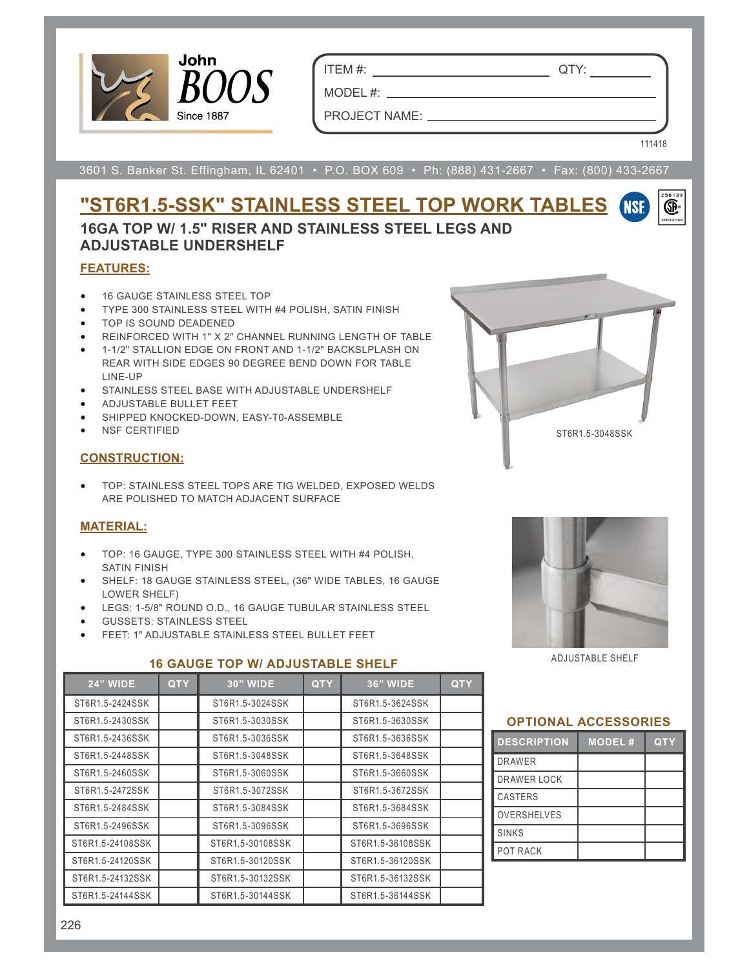

ITEM #: QTY:

MODEL #:

PROJECT NAME:

111418

**NSF** 

œ.

3601 S. Banker St. Effingham, IL 62401 • P.O. BOX 609 • Ph: (888) 431-2667 • Fax: (800) 433-2667

# **"ST6R1.5-SSK" STAINLESS STEEL TOP WORK TABLES**

**16GA TOP W/ 1.5" RISER AND STAINLESS STEEL LEGS AND ADJUSTABLE UNDERSHELF**

## **FEATURES:**

- 16 GAUGE STAINLESS STEEL TOP
- TYPE 300 STAINLESS STEEL WITH #4 POLISH, SATIN FINISH
- TOP IS SOUND DEADENED
- REINFORCED WITH 1" X 2" CHANNEL RUNNING LENGTH OF TABLE
- 1-1/2" STALLION EDGE ON FRONT AND 1-1/2" BACKSLPLASH ON REAR WITH SIDE EDGES 90 DEGREE BEND DOWN FOR TABLE LINE-UP
- STAINLESS STEEL BASE WITH ADJUSTABLE UNDERSHELF
- ADJUSTABLE BULLET FEET
- SHIPPED KNOCKED-DOWN, EASY-T0-ASSEMBLE
- NSF CERTIFIED

### **CONSTRUCTION:**

• TOP: STAINLESS STEEL TOPS ARE TIG WELDED, EXPOSED WELDS ARE POLISHED TO MATCH ADJACENT SURFACE

### **MATERIAL:**

- TOP: 16 GAUGE, TYPE 300 STAINLESS STEEL WITH #4 POLISH, SATIN FINISH
- SHELF: 18 GAUGE STAINLESS STEEL, (36" WIDE TABLES, 16 GAUGE LOWER SHELF)
- LEGS: 1-5/8" ROUND O.D., 16 GAUGE TUBULAR STAINLESS STEEL
- GUSSETS: STAINLESS STEEL
- FEET: 1" ADJUSTABLE STAINLESS STEEL BULLET FEET

### **16 GAUGE TOP W/ ADJUSTABLE SHELF**



ST6R1.5-3048SSK

ADJUSTABLE SHELF

| <b>24" WIDE</b>  | <b>QTY</b> | <b>30" WIDE</b>  | <b>QTY</b> | <b>36" WIDE</b>  | <b>QTY</b> |
|------------------|------------|------------------|------------|------------------|------------|
| ST6R1.5-2424SSK  |            | ST6R1.5-3024SSK  |            | ST6R1.5-3624SSK  |            |
| ST6R1.5-2430SSK  |            | ST6R1.5-3030SSK  |            | ST6R1.5-3630SSK  |            |
| ST6R1.5-2436SSK  |            | ST6R1.5-3036SSK  |            | ST6R1.5-3636SSK  |            |
| ST6R1.5-2448SSK  |            | ST6R1.5-3048SSK  |            | ST6R1.5-3648SSK  |            |
| ST6R1.5-2460SSK  |            | ST6R1.5-3060SSK  |            | ST6R1.5-3660SSK  |            |
| ST6R1.5-2472SSK  |            | ST6R1.5-3072SSK  |            | ST6R1.5-3672SSK  |            |
| ST6R1.5-2484SSK  |            | ST6R1.5-3084SSK  |            | ST6R1.5-3684SSK  |            |
| ST6R1.5-2496SSK  |            | ST6R1.5-3096SSK  |            | ST6R1.5-3696SSK  |            |
| ST6R1.5-24108SSK |            | ST6R1.5-30108SSK |            | ST6R1.5-36108SSK |            |
| ST6R1.5-24120SSK |            | ST6R1.5-30120SSK |            | ST6R1.5-36120SSK |            |
| ST6R1.5-24132SSK |            | ST6R1.5-30132SSK |            | ST6R1.5-36132SSK |            |
| ST6R1.5-24144SSK |            | ST6R1.5-30144SSK |            | ST6R1.5-36144SSK |            |

#### **OPTIONAL ACCESSORIES**

| <b>DESCRIPTION</b> | <b>MODEL#</b> | <b>QTY</b> |
|--------------------|---------------|------------|
| <b>DRAWER</b>      |               |            |
| <b>DRAWER LOCK</b> |               |            |
| <b>CASTERS</b>     |               |            |
| <b>OVERSHELVES</b> |               |            |
| <b>SINKS</b>       |               |            |
| POT RACK           |               |            |